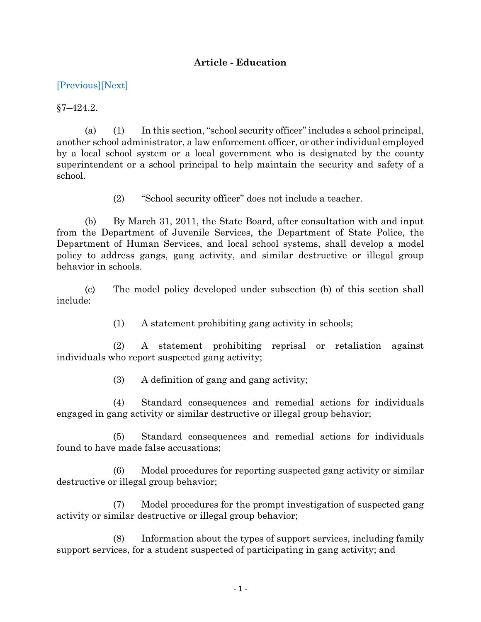## **Article - Education**

## [\[Previous\]](http://mgaleg.maryland.gov/2021RS/Statute_Web/ged/7-424.1.pdf)[\[Next\]](http://mgaleg.maryland.gov/2021RS/Statute_Web/ged/7-424.3.pdf)

 $§7 - 424.2.$ 

(a) (1) In this section, "school security officer" includes a school principal, another school administrator, a law enforcement officer, or other individual employed by a local school system or a local government who is designated by the county superintendent or a school principal to help maintain the security and safety of a school.

(2) "School security officer" does not include a teacher.

(b) By March 31, 2011, the State Board, after consultation with and input from the Department of Juvenile Services, the Department of State Police, the Department of Human Services, and local school systems, shall develop a model policy to address gangs, gang activity, and similar destructive or illegal group behavior in schools.

(c) The model policy developed under subsection (b) of this section shall include:

(1) A statement prohibiting gang activity in schools;

(2) A statement prohibiting reprisal or retaliation against individuals who report suspected gang activity;

(3) A definition of gang and gang activity;

(4) Standard consequences and remedial actions for individuals engaged in gang activity or similar destructive or illegal group behavior;

(5) Standard consequences and remedial actions for individuals found to have made false accusations;

(6) Model procedures for reporting suspected gang activity or similar destructive or illegal group behavior;

(7) Model procedures for the prompt investigation of suspected gang activity or similar destructive or illegal group behavior;

(8) Information about the types of support services, including family support services, for a student suspected of participating in gang activity; and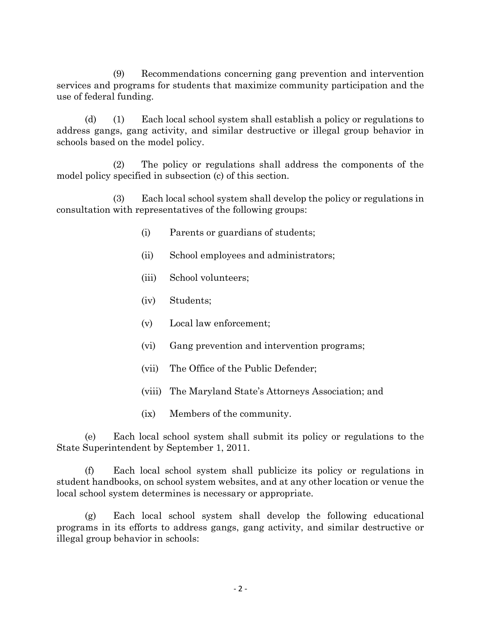(9) Recommendations concerning gang prevention and intervention services and programs for students that maximize community participation and the use of federal funding.

(d) (1) Each local school system shall establish a policy or regulations to address gangs, gang activity, and similar destructive or illegal group behavior in schools based on the model policy.

(2) The policy or regulations shall address the components of the model policy specified in subsection (c) of this section.

(3) Each local school system shall develop the policy or regulations in consultation with representatives of the following groups:

- (i) Parents or guardians of students;
- (ii) School employees and administrators;
- (iii) School volunteers;
- (iv) Students;
- (v) Local law enforcement;
- (vi) Gang prevention and intervention programs;
- (vii) The Office of the Public Defender;
- (viii) The Maryland State's Attorneys Association; and
- (ix) Members of the community.

(e) Each local school system shall submit its policy or regulations to the State Superintendent by September 1, 2011.

(f) Each local school system shall publicize its policy or regulations in student handbooks, on school system websites, and at any other location or venue the local school system determines is necessary or appropriate.

(g) Each local school system shall develop the following educational programs in its efforts to address gangs, gang activity, and similar destructive or illegal group behavior in schools: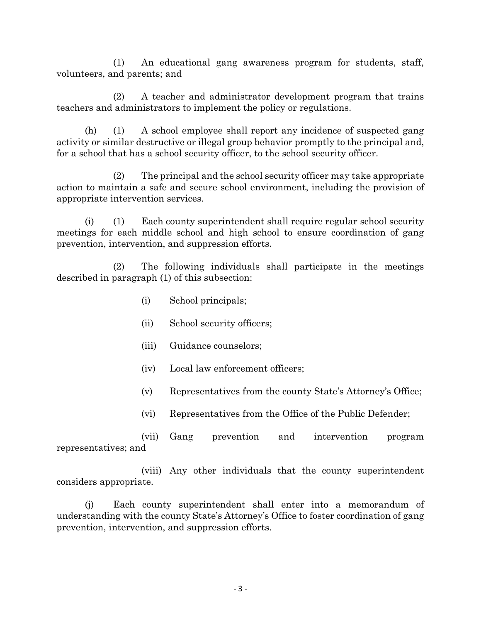(1) An educational gang awareness program for students, staff, volunteers, and parents; and

(2) A teacher and administrator development program that trains teachers and administrators to implement the policy or regulations.

(h) (1) A school employee shall report any incidence of suspected gang activity or similar destructive or illegal group behavior promptly to the principal and, for a school that has a school security officer, to the school security officer.

(2) The principal and the school security officer may take appropriate action to maintain a safe and secure school environment, including the provision of appropriate intervention services.

(i) (1) Each county superintendent shall require regular school security meetings for each middle school and high school to ensure coordination of gang prevention, intervention, and suppression efforts.

(2) The following individuals shall participate in the meetings described in paragraph (1) of this subsection:

- (i) School principals;
- (ii) School security officers;
- (iii) Guidance counselors;
- (iv) Local law enforcement officers;
- (v) Representatives from the county State's Attorney's Office;
- (vi) Representatives from the Office of the Public Defender;

(vii) Gang prevention and intervention program representatives; and

(viii) Any other individuals that the county superintendent considers appropriate.

(j) Each county superintendent shall enter into a memorandum of understanding with the county State's Attorney's Office to foster coordination of gang prevention, intervention, and suppression efforts.